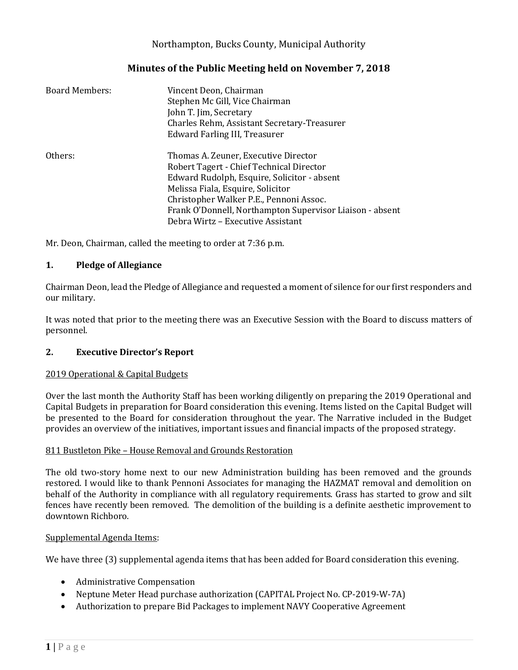# Northampton, Bucks County, Municipal Authority

# **Minutes of the Public Meeting held on November 7, 2018**

| <b>Board Members:</b> | Vincent Deon, Chairman<br>Stephen Mc Gill, Vice Chairman<br>John T. Jim, Secretary<br>Charles Rehm, Assistant Secretary-Treasurer<br>Edward Farling III, Treasurer                                              |
|-----------------------|-----------------------------------------------------------------------------------------------------------------------------------------------------------------------------------------------------------------|
| Others:               | Thomas A. Zeuner, Executive Director<br>Robert Tagert - Chief Technical Director<br>Edward Rudolph, Esquire, Solicitor - absent<br>Melissa Fiala, Esquire, Solicitor<br>Christopher Walker P.E., Pennoni Assoc. |
|                       | Frank O'Donnell, Northampton Supervisor Liaison - absent<br>Debra Wirtz - Executive Assistant                                                                                                                   |

Mr. Deon, Chairman, called the meeting to order at 7:36 p.m.

## **1. Pledge of Allegiance**

Chairman Deon, lead the Pledge of Allegiance and requested a moment of silence for our first responders and our military.

It was noted that prior to the meeting there was an Executive Session with the Board to discuss matters of personnel.

#### **2. Executive Director's Report**

#### 2019 Operational & Capital Budgets

Over the last month the Authority Staff has been working diligently on preparing the 2019 Operational and Capital Budgets in preparation for Board consideration this evening. Items listed on the Capital Budget will be presented to the Board for consideration throughout the year. The Narrative included in the Budget provides an overview of the initiatives, important issues and financial impacts of the proposed strategy.

#### 811 Bustleton Pike – House Removal and Grounds Restoration

The old two-story home next to our new Administration building has been removed and the grounds restored. I would like to thank Pennoni Associates for managing the HAZMAT removal and demolition on behalf of the Authority in compliance with all regulatory requirements. Grass has started to grow and silt fences have recently been removed. The demolition of the building is a definite aesthetic improvement to downtown Richboro.

#### Supplemental Agenda Items:

We have three (3) supplemental agenda items that has been added for Board consideration this evening.

- Administrative Compensation
- Neptune Meter Head purchase authorization (CAPITAL Project No. CP-2019-W-7A)
- Authorization to prepare Bid Packages to implement NAVY Cooperative Agreement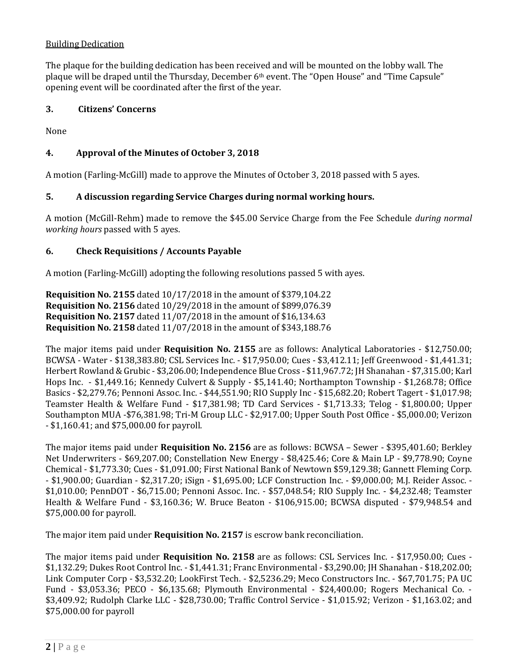# Building Dedication

The plaque for the building dedication has been received and will be mounted on the lobby wall. The plaque will be draped until the Thursday, December 6th event. The "Open House" and "Time Capsule" opening event will be coordinated after the first of the year.

## **3. Citizens' Concerns**

None

# **4. Approval of the Minutes of October 3, 2018**

A motion (Farling-McGill) made to approve the Minutes of October 3, 2018 passed with 5 ayes.

# **5. A discussion regarding Service Charges during normal working hours.**

A motion (McGill-Rehm) made to remove the \$45.00 Service Charge from the Fee Schedule *during normal working hours* passed with 5 ayes.

## **6. Check Requisitions / Accounts Payable**

A motion (Farling-McGill) adopting the following resolutions passed 5 with ayes.

**Requisition No. 2155** dated 10/17/2018 in the amount of \$379,104.22 **Requisition No. 2156** dated 10/29/2018 in the amount of \$899,076.39 **Requisition No. 2157** dated 11/07/2018 in the amount of \$16,134.63 **Requisition No. 2158** dated 11/07/2018 in the amount of \$343,188.76

The major items paid under **Requisition No. 2155** are as follows: Analytical Laboratories - \$12,750.00; BCWSA - Water - \$138,383.80; CSL Services Inc. - \$17,950.00; Cues - \$3,412.11; Jeff Greenwood - \$1,441.31; Herbert Rowland & Grubic - \$3,206.00; Independence Blue Cross - \$11,967.72; JH Shanahan - \$7,315.00; Karl Hops Inc. - \$1,449.16; Kennedy Culvert & Supply - \$5,141.40; Northampton Township - \$1,268.78; Office Basics - \$2,279.76; Pennoni Assoc. Inc. - \$44,551.90; RIO Supply Inc - \$15,682.20; Robert Tagert - \$1,017.98; Teamster Health & Welfare Fund - \$17,381.98; TD Card Services - \$1,713.33; Telog - \$1,800.00; Upper Southampton MUA -\$76,381.98; Tri-M Group LLC - \$2,917.00; Upper South Post Office - \$5,000.00; Verizon - \$1,160.41; and \$75,000.00 for payroll.

The major items paid under **Requisition No. 2156** are as follows: BCWSA – Sewer - \$395,401.60; Berkley Net Underwriters - \$69,207.00; Constellation New Energy - \$8,425.46; Core & Main LP - \$9,778.90; Coyne Chemical - \$1,773.30; Cues - \$1,091.00; First National Bank of Newtown \$59,129.38; Gannett Fleming Corp. - \$1,900.00; Guardian - \$2,317.20; iSign - \$1,695.00; LCF Construction Inc. - \$9,000.00; M.J. Reider Assoc. - \$1,010.00; PennDOT - \$6,715.00; Pennoni Assoc. Inc. - \$57,048.54; RIO Supply Inc. - \$4,232.48; Teamster Health & Welfare Fund - \$3,160.36; W. Bruce Beaton - \$106,915.00; BCWSA disputed - \$79,948.54 and \$75,000.00 for payroll.

The major item paid under **Requisition No. 2157** is escrow bank reconciliation.

The major items paid under **Requisition No. 2158** are as follows: CSL Services Inc. - \$17,950.00; Cues - \$1,132.29; Dukes Root Control Inc. - \$1,441.31; Franc Environmental - \$3,290.00; JH Shanahan - \$18,202.00; Link Computer Corp - \$3,532.20; LookFirst Tech. - \$2,5236.29; Meco Constructors Inc. - \$67,701.75; PA UC Fund - \$3,053.36; PECO - \$6,135.68; Plymouth Environmental - \$24,400.00; Rogers Mechanical Co. - \$3,409.92; Rudolph Clarke LLC - \$28,730.00; Traffic Control Service - \$1,015.92; Verizon - \$1,163.02; and \$75,000.00 for payroll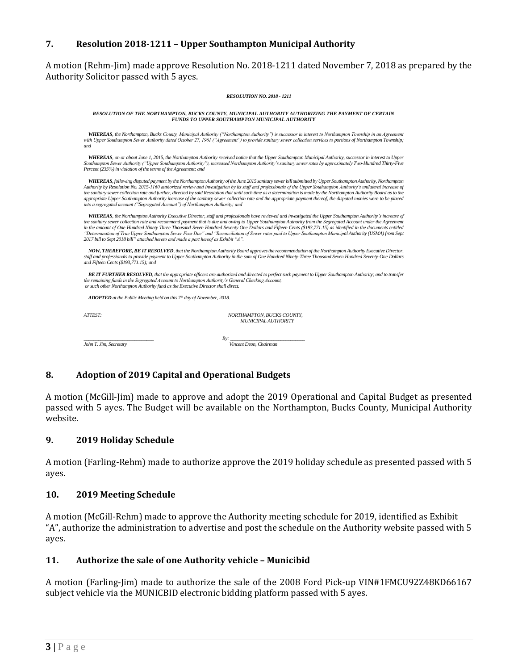## **7. Resolution 2018-1211 – Upper Southampton Municipal Authority**

A motion (Rehm-Jim) made approve Resolution No. 2018-1211 dated November 7, 2018 as prepared by the Authority Solicitor passed with 5 ayes.

| <b>RESOLUTION NO. 2018 - 1211</b>                                                   |                                                                                                                                                                                                                                                                                                                                                                                                                                                                                                                                                                                                                                                                                      |
|-------------------------------------------------------------------------------------|--------------------------------------------------------------------------------------------------------------------------------------------------------------------------------------------------------------------------------------------------------------------------------------------------------------------------------------------------------------------------------------------------------------------------------------------------------------------------------------------------------------------------------------------------------------------------------------------------------------------------------------------------------------------------------------|
|                                                                                     | RESOLUTION OF THE NORTHAMPTON, BUCKS COUNTY, MUNICIPAL AUTHORITY AUTHORIZING THE PAYMENT OF CERTAIN<br>FUNDS TO UPPER SOUTHAMPTON MUNICIPAL AUTHORITY                                                                                                                                                                                                                                                                                                                                                                                                                                                                                                                                |
| and                                                                                 | WHEREAS, the Northampton, Bucks County, Municipal Authority ("Northampton Authority") is successor in interest to Northampton Township in an Agreement<br>with Upper Southampton Sewer Authority dated October 27, 1961 ("Agreement") to provide sanitary sewer collection services to portions of Northampton Township;                                                                                                                                                                                                                                                                                                                                                             |
| Percent (235%) in violation of the terms of the Agreement; and                      | WHEREAS, on or about June 1, 2015, the Northampton Authority received notice that the Upper Southampton Municipal Authority, successor in interest to Upper<br>Southampton Sewer Authority ("Upper Southampton Authority"), increased Northampton Authority's sanitary sewer rates by approximately Two-Hundred Thirty-Five                                                                                                                                                                                                                                                                                                                                                          |
| into a segregated account ("Segregated Account") of Northampton Authority; and      | WHEREAS, following disputed payment by the Northampton Authority of the June 2015 sanitary sewer bill submitted by Upper Southampton Authority, Northampton<br>Authority by Resolution No. 2015-1160 authorized review and investigation by its staff and professionals of the Upper Southampton Authority's unilateral increase of<br>the sanitary sewer collection rate and further, directed by said Resolution that until such time as a determination is made by the Northampton Authority Board as to the<br>appropriate Upper Southampton Authority increase of the sanitary sewer collection rate and the appropriate payment thereof, the disputed monies were to be placed |
| 2017 bill to Sept 2018 bill" attached hereto and made a part hereof as Exhibit "A". | WHEREAS, the Northampton Authority Executive Director, staff and professionals have reviewed and investigated the Upper Southampton Authority's increase of<br>the sanitary sewer collection rate and recommend payment that is due and owing to Upper Southampton Authority from the Segregated Account under the Agreement<br>in the amount of One Hundred Ninety Three Thousand Seven Hundred Seventy One Dollars and Fifteen Cents (\$193,771.15) as identified in the documents entitled<br>"Determination of True Upper Southampton Sewer Fees Due" and "Reconciliation of Sewer rates paid to Upper Southampton Municipal Authority (USMA) from Sept                          |
| and Fifteen Cents (\$193,771.15); and                                               | NOW, THEREFORE, BE IT RESOLVED, that the Northampton Authority Board approves the recommendation of the Northampton Authority Executive Director,<br>staff and professionals to provide payment to Upper Southampton Authority in the sum of One Hundred Ninety-Three Thousand Seven Hundred Seventy-One Dollars                                                                                                                                                                                                                                                                                                                                                                     |
| or such other Northampton Authority fund as the Executive Director shall direct.    | BE IT FURTHER RESOLVED, that the appropriate officers are authorized and directed to perfect such payment to Upper Southampton Authority; and to transfer<br>the remaining funds in the Segregated Account to Northampton Authority's General Checking Account,                                                                                                                                                                                                                                                                                                                                                                                                                      |
| <b>ADOPTED</b> at the Public Meeting held on this $7th$ day of November, 2018.      |                                                                                                                                                                                                                                                                                                                                                                                                                                                                                                                                                                                                                                                                                      |
| ATTEST:                                                                             | NORTHAMPTON, BUCKS COUNTY,<br><b>MUNICIPAL AUTHORITY</b>                                                                                                                                                                                                                                                                                                                                                                                                                                                                                                                                                                                                                             |
|                                                                                     | Rv:<br>Vincent Deon, Chairman                                                                                                                                                                                                                                                                                                                                                                                                                                                                                                                                                                                                                                                        |

## **8. Adoption of 2019 Capital and Operational Budgets**

A motion (McGill-Jim) made to approve and adopt the 2019 Operational and Capital Budget as presented passed with 5 ayes. The Budget will be available on the Northampton, Bucks County, Municipal Authority website.

#### **9. 2019 Holiday Schedule**

A motion (Farling-Rehm) made to authorize approve the 2019 holiday schedule as presented passed with 5 ayes.

#### **10. 2019 Meeting Schedule**

A motion (McGill-Rehm) made to approve the Authority meeting schedule for 2019, identified as Exhibit "A", authorize the administration to advertise and post the schedule on the Authority website passed with 5 ayes.

#### **11. Authorize the sale of one Authority vehicle – Municibid**

A motion (Farling-Jim) made to authorize the sale of the 2008 Ford Pick-up VIN#1FMCU92Z48KD66167 subject vehicle via the MUNICBID electronic bidding platform passed with 5 ayes.